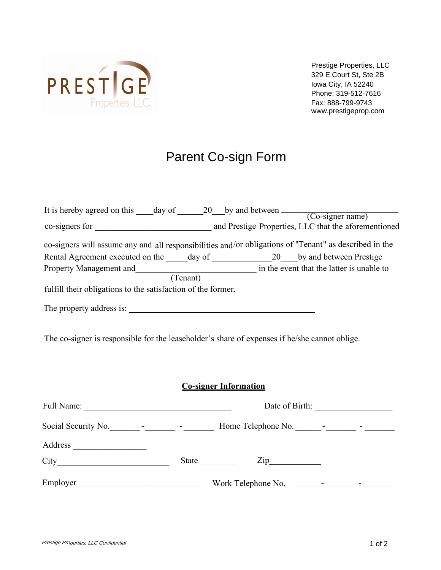

Prestige Properties, LLC 329 E Court St, Ste 2B Iowa City, IA 52240 Phone: 319-512-7616 www.prestigeprop.com Fax: 888-799-9743

## Parent Co-sign Form

| It is hereby agreed on this day of 20 by and between                                                   |                                                      |
|--------------------------------------------------------------------------------------------------------|------------------------------------------------------|
|                                                                                                        | $(Co$ -signer name)                                  |
| co-signers for                                                                                         | and Prestige Properties, LLC that the aforementioned |
| co-signers will assume any and all responsibilities and/or obligations of "Tenant" as described in the |                                                      |
| Rental Agreement executed on the<br>day of                                                             | by and between Prestige<br>20                        |
| Property Management and                                                                                | in the event that the latter is unable to            |
| (Tenant)                                                                                               |                                                      |
| fulfill their obligations to the satisfaction of the former.                                           |                                                      |
| The property address is:                                                                               |                                                      |

The co-signer is responsible for the leaseholder's share of expenses if he/she cannot oblige.

## **Co-signer Information**

| Full Name: | Date of Birth:                                                  |
|------------|-----------------------------------------------------------------|
|            |                                                                 |
| Address    |                                                                 |
| City       | $\mathsf{Zip}\_$<br>State                                       |
| Employer   | Work Telephone No.<br>the control of the control of the control |